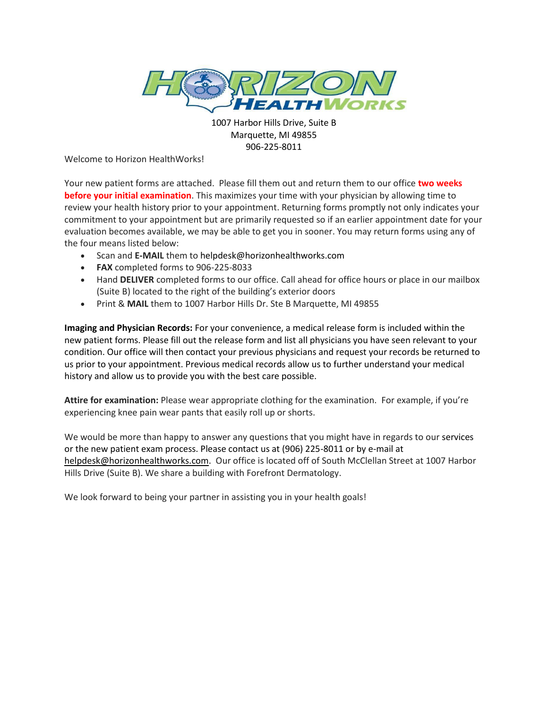

1007 Harbor Hills Drive, Suite B Marquette, MI 49855 906-225-8011

Welcome to Horizon HealthWorks!

Your new patient forms are attached. Please fill them out and return them to our office **two weeks before your initial examination**. This maximizes your time with your physician by allowing time to review your health history prior to your appointment. Returning forms promptly not only indicates your commitment to your appointment but are primarily requested so if an earlier appointment date for your evaluation becomes available, we may be able to get you in sooner. You may return forms using any of the four means listed below:

- Scan and **E-MAIL** them to helpdesk@horizonhealthworks.com
- **FAX** completed forms to 906-225-8033
- Hand **DELIVER** completed forms to our office. Call ahead for office hours or place in our mailbox (Suite B) located to the right of the building's exterior doors
- Print & **MAIL** them to 1007 Harbor Hills Dr. Ste B Marquette, MI 49855

**Imaging and Physician Records:** For your convenience, a medical release form is included within the new patient forms. Please fill out the release form and list all physicians you have seen relevant to your condition. Our office will then contact your previous physicians and request your records be returned to us prior to your appointment. Previous medical records allow us to further understand your medical history and allow us to provide you with the best care possible.

**Attire for examination:** Please wear appropriate clothing for the examination. For example, if you're experiencing knee pain wear pants that easily roll up or shorts.

We would be more than happy to answer any questions that you might have in regards to our services or the new patient exam process. Please contact us at (906) 225-8011 or by e-mail at [helpdesk@horizonhealthworks.com.](mailto:helpdesk@horizonhealthworks.com) Our office is located off of South McClellan Street at 1007 Harbor Hills Drive (Suite B). We share a building with Forefront Dermatology.

We look forward to being your partner in assisting you in your health goals!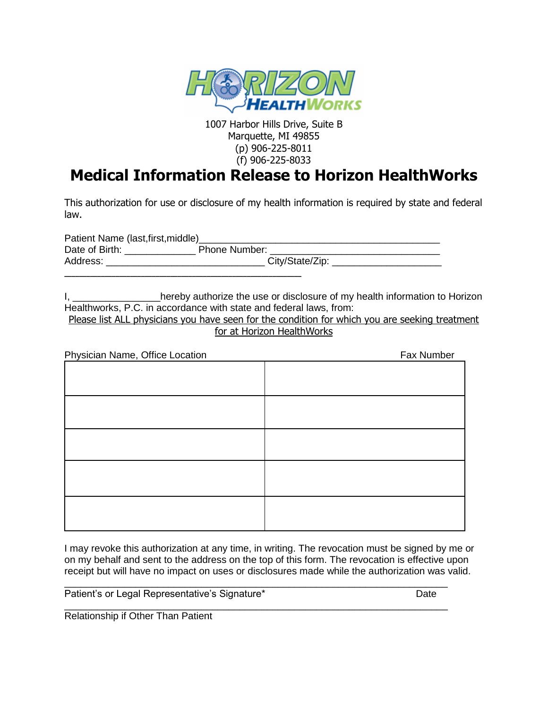

1007 Harbor Hills Drive, Suite B Marquette, MI 49855 (p) 906-225-8011 (f) 906-225-8033

## **Medical Information Release to Horizon HealthWorks**

This authorization for use or disclosure of my health information is required by state and federal law.

| Patient Name (last, first, middle) |                 |
|------------------------------------|-----------------|
| Date of Birth:                     | Phone Number:   |
| Address:                           | City/State/Zip: |
|                                    |                 |

I, Letter the use or disclosure of my health information to Horizon Healthworks, P.C. in accordance with state and federal laws, from:

Please list ALL physicians you have seen for the condition for which you are seeking treatment for at Horizon HealthWorks

| Physician Name, Office Location | Fax Number |
|---------------------------------|------------|
|                                 |            |
|                                 |            |
|                                 |            |
|                                 |            |
|                                 |            |
|                                 |            |

I may revoke this authorization at any time, in writing. The revocation must be signed by me or on my behalf and sent to the address on the top of this form. The revocation is effective upon receipt but will have no impact on uses or disclosures made while the authorization was valid.

\_\_\_\_\_\_\_\_\_\_\_\_\_\_\_\_\_\_\_\_\_\_\_\_\_\_\_\_\_\_\_\_\_\_\_\_\_\_\_\_\_\_\_\_\_\_\_\_\_\_\_\_\_\_\_\_\_\_\_\_\_\_\_\_\_\_\_\_\_\_

\_\_\_\_\_\_\_\_\_\_\_\_\_\_\_\_\_\_\_\_\_\_\_\_\_\_\_\_\_\_\_\_\_\_\_\_\_\_\_\_\_\_\_\_\_\_\_\_\_\_\_\_\_\_\_\_\_\_\_\_\_\_\_\_\_\_\_\_\_\_

Patient's or Legal Representative's Signature\* The Contraction of the Date

Relationship if Other Than Patient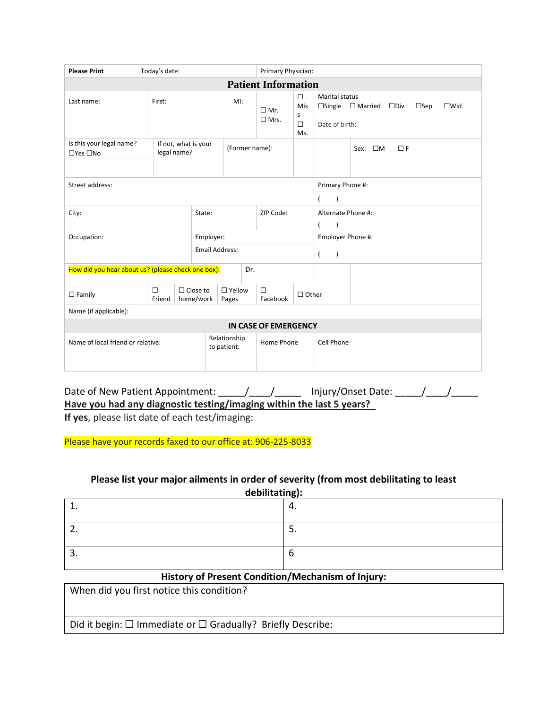| <b>Please Print</b>                                              | Today's date:                       |                              |                                                              | Primary Physician:                              |                                     |                                                                         |                                                 |  |
|------------------------------------------------------------------|-------------------------------------|------------------------------|--------------------------------------------------------------|-------------------------------------------------|-------------------------------------|-------------------------------------------------------------------------|-------------------------------------------------|--|
| <b>Patient Information</b>                                       |                                     |                              |                                                              |                                                 |                                     |                                                                         |                                                 |  |
| Last name:                                                       | First:                              |                              | $M!$ :                                                       | $\Box$ Mr.<br>$\Box$ Mrs.                       | $\Box$<br>Mis<br>s<br>$\Box$<br>Ms. | <b>Marital status</b><br>$\Box$ Single $\Box$ Married<br>Date of birth: | $\square$ Div<br>$\square$ Sep<br>$\square$ Wid |  |
| Is this your legal name?<br>$\Box$ Yes $\Box$ No                 | If not, what is your<br>legal name? |                              | (Former name):                                               |                                                 |                                     | Sex: $\square M$                                                        | $\Box F$                                        |  |
| Street address:                                                  |                                     |                              |                                                              | Primary Phone #:<br>$\overline{ }$<br>$\lambda$ |                                     |                                                                         |                                                 |  |
| City:                                                            |                                     | ZIP Code:<br>State:          |                                                              |                                                 |                                     | Alternate Phone #:                                                      |                                                 |  |
| Occupation:                                                      |                                     | Employer:                    |                                                              |                                                 |                                     | Employer Phone #:                                                       |                                                 |  |
|                                                                  |                                     | <b>Email Address:</b>        |                                                              |                                                 |                                     | $\overline{ }$<br>$\lambda$                                             |                                                 |  |
| How did you hear about us? (please check one box):               |                                     |                              | Dr.                                                          |                                                 |                                     |                                                                         |                                                 |  |
| $\Box$ Family                                                    | □<br>Friend                         | $\Box$ Close to<br>home/work | $\Box$ Yellow<br>$\Box$<br>$\Box$ Other<br>Facebook<br>Pages |                                                 |                                     |                                                                         |                                                 |  |
| Name (if applicable):                                            |                                     |                              |                                                              |                                                 |                                     |                                                                         |                                                 |  |
| <b>IN CASE OF EMERGENCY</b>                                      |                                     |                              |                                                              |                                                 |                                     |                                                                         |                                                 |  |
| Relationship<br>Name of local friend or relative:<br>to patient: |                                     |                              | Home Phone                                                   |                                                 | Cell Phone                          |                                                                         |                                                 |  |

Date of New Patient Appointment: \_\_\_\_\_/\_\_\_\_/\_\_\_\_\_\_ Injury/Onset Date: \_\_\_\_\_/\_\_\_\_/ **Have you had any diagnostic testing/imaging within the last 5 years? If yes**, please list date of each test/imaging:

Please have your records faxed to our office at: 906-225-8033

## **Please list your major ailments in order of severity (from most debilitating to least**

| debilitating): |    |  |  |
|----------------|----|--|--|
| ᅩ.             | 4. |  |  |
| <u>.</u>       | э. |  |  |
| . ب            | ь  |  |  |

## **History of Present Condition/Mechanism of Injury:**

When did you first notice this condition?

Did it begin: ☐ Immediate or ☐ Gradually? Briefly Describe: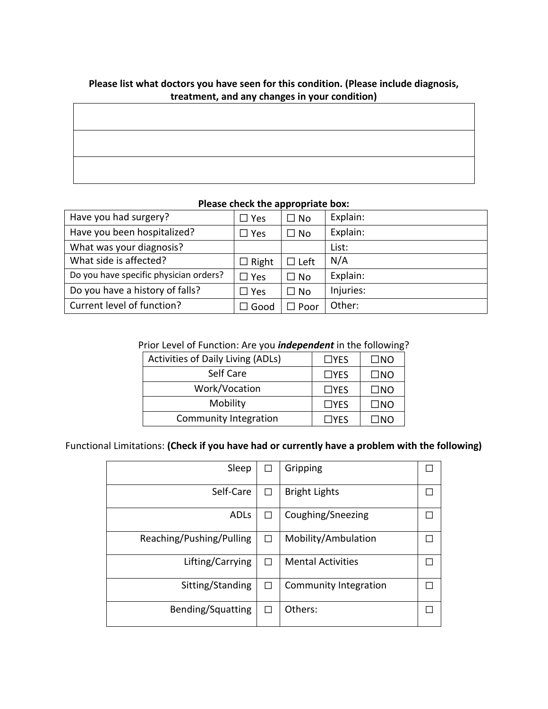| i icase iist wiiat doctors you have seen for this condition. If icase include diagnosis,<br>treatment, and any changes in your condition) |  |  |  |  |  |
|-------------------------------------------------------------------------------------------------------------------------------------------|--|--|--|--|--|
|                                                                                                                                           |  |  |  |  |  |
|                                                                                                                                           |  |  |  |  |  |
|                                                                                                                                           |  |  |  |  |  |
|                                                                                                                                           |  |  |  |  |  |
|                                                                                                                                           |  |  |  |  |  |

# **Please list what doctors you have seen for this condition. (Please include diagnosis,**

## **Please check the appropriate box:**

| Have you had surgery?                  | $\Box$ Yes   | $\Box$ No    | Explain:  |
|----------------------------------------|--------------|--------------|-----------|
| Have you been hospitalized?            | $\Box$ Yes   | $\square$ No | Explain:  |
| What was your diagnosis?               |              |              | List:     |
| What side is affected?                 | $\Box$ Right | $\Box$ Left  | N/A       |
| Do you have specific physician orders? | $\Box$ Yes   | $\Box$ No    | Explain:  |
| Do you have a history of falls?        | $\Box$ Yes   | $\Box$ No    | Injuries: |
| Current level of function?             | Good         | ∃ Poor       | Other:    |

## Prior Level of Function: Are you *independent* in the following?

| <b>Activities of Daily Living (ADLs)</b> | $\Box$ YES | $\square$ NO |
|------------------------------------------|------------|--------------|
| Self Care                                | $\Box$ YES | $\square$ NO |
| Work/Vocation                            | $\Box$ YES | $\square$ NO |
| Mobility                                 | $\Box$ YES | $\square$ NO |
| Community Integration                    | $\Box$ YES | ΠNΩ          |

## Functional Limitations: **(Check if you have had or currently have a problem with the following)**

| Sleep                    |              | Gripping                 |  |
|--------------------------|--------------|--------------------------|--|
| Self-Care                |              | <b>Bright Lights</b>     |  |
| <b>ADLs</b>              | $\mathsf{L}$ | Coughing/Sneezing        |  |
| Reaching/Pushing/Pulling |              | Mobility/Ambulation      |  |
| Lifting/Carrying         |              | <b>Mental Activities</b> |  |
| Sitting/Standing         |              | Community Integration    |  |
| Bending/Squatting        | П            | Others:                  |  |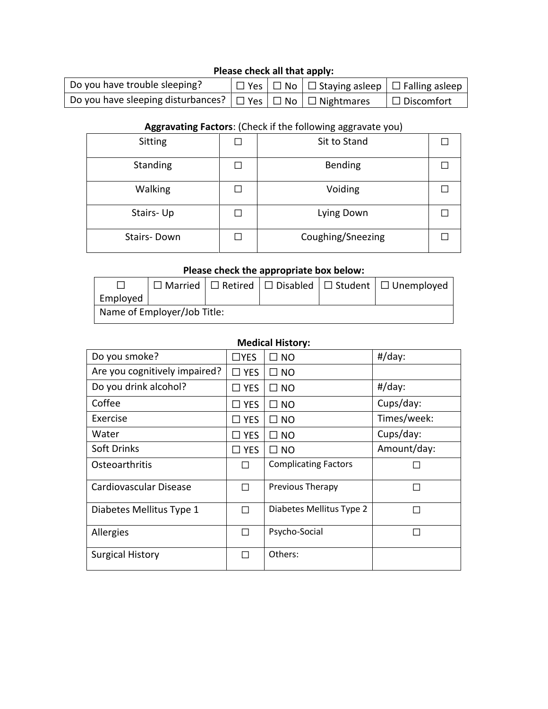## **Please check all that apply:**

| Do you have trouble sleeping?                                                   |  | $\Box$ Yes $\Box$ No $\Box$ Staying asleep $\Box$ Falling asleep |                   |
|---------------------------------------------------------------------------------|--|------------------------------------------------------------------|-------------------|
| Do you have sleeping disturbances?   $\Box$ Yes   $\Box$ No   $\Box$ Nightmares |  |                                                                  | $\Box$ Discomfort |

## **Aggravating Factors**: (Check if the following aggravate you)

| Sitting     | Sit to Stand      |  |
|-------------|-------------------|--|
| Standing    | Bending           |  |
| Walking     | Voiding           |  |
| Stairs-Up   | Lying Down        |  |
| Stairs-Down | Coughing/Sneezing |  |

## **Please check the appropriate box below:**

|                             |  |  |  |  | $\Box$ Married $\Box$ Retired $\Box$ Disabled $\Box$ Student $\Box$ Unemployed |
|-----------------------------|--|--|--|--|--------------------------------------------------------------------------------|
| Employed                    |  |  |  |  |                                                                                |
| Name of Employer/Job Title: |  |  |  |  |                                                                                |

## **Medical History:**

| Do you smoke?                 | $\Box$ YES    | $\square$ NO                | $#/day$ :   |
|-------------------------------|---------------|-----------------------------|-------------|
| Are you cognitively impaired? | $\Box$ YES    | $\Box$ NO                   |             |
| Do you drink alcohol?         | $\square$ YES | $\square$ NO                | $#/day$ :   |
| Coffee                        | $\square$ YES | $\square$ NO                | Cups/day:   |
| Exercise                      | $\Box$ Yes    | $\square$ NO                | Times/week: |
| Water                         | $\square$ YES | $\square$ NO                | Cups/day:   |
| Soft Drinks                   | $\square$ YES | $\square$ NO                | Amount/day: |
| Osteoarthritis                | П             | <b>Complicating Factors</b> |             |
| Cardiovascular Disease        | П             | Previous Therapy            | H           |
| Diabetes Mellitus Type 1      | П             | Diabetes Mellitus Type 2    |             |
| Allergies                     | П             | Psycho-Social               |             |
| <b>Surgical History</b>       | П             | Others:                     |             |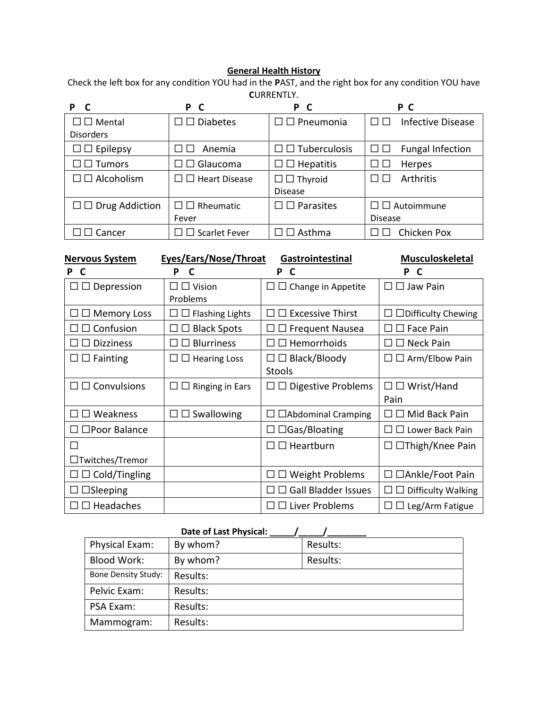#### **General Health History**

Check the left box for any condition YOU had in the **P**AST, and the right box for any condition YOU have **C**URRENTLY.

|                              | P<br>$\mathbf{C}$               | P C                         | P C                                       |
|------------------------------|---------------------------------|-----------------------------|-------------------------------------------|
| $\square \square$ Mental     | $\square \square$ Diabetes      | $\Box$ Pneumonia            | $\Box$ $\Box$<br><b>Infective Disease</b> |
| <b>Disorders</b>             |                                 |                             |                                           |
| $\Box$ $\Box$ Epilepsy       | Anemia                          | $\Box$ Tuberculosis         | <b>Fungal Infection</b>                   |
| $\square$ $\square$ Tumors   | $\square \square$ Glaucoma      | $\square \square$ Hepatitis | Herpes                                    |
| $\square \square$ Alcoholism | $\square \square$ Heart Disease | $\Box$ Thyroid              | <b>Arthritis</b>                          |
|                              |                                 | <b>Disease</b>              |                                           |
| $\Box$ Drug Addiction        | $\square \square$ Rheumatic     | $\square \square$ Parasites | $\Box$ $\Box$ Autoimmune                  |
|                              | Fever                           |                             | <b>Disease</b>                            |
| Cancer                       | $\Box$ Scarlet Fever            | $\Box$ Asthma               | Chicken Pox                               |

| <b>Nervous System</b>                         | Eyes/Ears/Nose/Throat<br>Gastrointestinal                       | <b>Musculoskeletal</b>                  |                           |  |
|-----------------------------------------------|-----------------------------------------------------------------|-----------------------------------------|---------------------------|--|
| C                                             | P<br>C                                                          | P<br>C                                  | P<br>C                    |  |
| $\square \square$ Depression<br>$\Box$ Vision |                                                                 | Change in Appetite<br>$\Box$<br>$\perp$ | $\Box$ Jaw Pain           |  |
|                                               | Problems                                                        |                                         |                           |  |
| $\square \square$ Memory Loss                 | $\Box$ Flashing Lights<br>$\perp$                               | $\Box$ Excessive Thirst                 | $\Box$ Difficulty Chewing |  |
| $\Box$ Confusion                              | <b>Black Spots</b>                                              | $\Box$ Frequent Nausea                  | $\Box$ Face Pain          |  |
| <b>Dizziness</b>                              | <b>Blurriness</b>                                               | $\Box$ Hemorrhoids                      | $\Box$ Neck Pain          |  |
| $\square \square$ Fainting                    | $\Box$ Black/Bloody<br><b>Hearing Loss</b><br>$\mathsf{L}$<br>⊔ |                                         | $\Box$ Arm/Elbow Pain     |  |
|                                               |                                                                 | <b>Stools</b>                           |                           |  |
| $\square \square$ Convulsions                 | <b>Ringing in Ears</b><br>ப<br>⊔                                | <b>Digestive Problems</b><br>$\Box$     | $\Box$ Wrist/Hand<br>П    |  |
|                                               |                                                                 |                                         | Pain                      |  |
| $\square$ Weakness<br>$\perp$                 | $\Box$ Swallowing<br>Ш                                          | $\Box$ Abdominal Cramping               | $\Box$ Mid Back Pain      |  |
| $\square$ Poor Balance                        |                                                                 | $\Box$ $\Box$ Gas/Bloating              | Lower Back Pain           |  |
| П                                             |                                                                 | $\Box$ Heartburn<br>$\mathbf{I}$        | □Thigh/Knee Pain          |  |
| □Twitches/Tremor                              |                                                                 |                                         |                           |  |
| $\Box$ $\Box$ Cold/Tingling                   |                                                                 | <b>Weight Problems</b>                  | □Ankle/Foot Pain          |  |
| $\Box$ Sleeping<br>$\perp$                    |                                                                 | Gall Bladder Issues                     | <b>Difficulty Walking</b> |  |
| $\square \square$ Headaches                   |                                                                 | $\Box$ Liver Problems<br>$\perp$        | $\Box$ Leg/Arm Fatigue    |  |

## Date of Last Physical: Physical Exam: | By whom? | Results: Blood Work: | By whom? | Results: Bone Density Study: Results: Pelvic Exam: Results: PSA Exam: Results: Mammogram: | Results: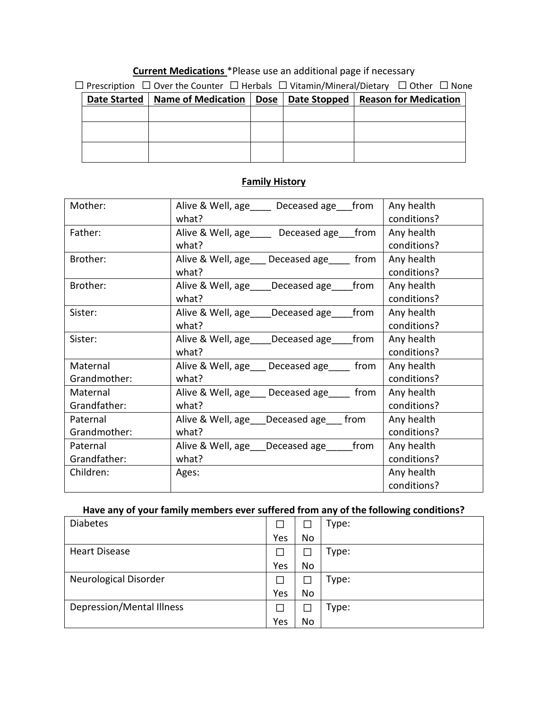## **Current Medications** \*Please use an additional page if necessary

| $\Box$ Prescription $\Box$ Over the Counter $\Box$ Herbals $\Box$ Vitamin/Mineral/Dietary $\Box$ Other $\Box$ None |  |  |  |                                                                                 |  |  |  |  |
|--------------------------------------------------------------------------------------------------------------------|--|--|--|---------------------------------------------------------------------------------|--|--|--|--|
|                                                                                                                    |  |  |  | Date Started   Name of Medication   Dose   Date Stopped   Reason for Medication |  |  |  |  |
|                                                                                                                    |  |  |  |                                                                                 |  |  |  |  |
|                                                                                                                    |  |  |  |                                                                                 |  |  |  |  |
|                                                                                                                    |  |  |  |                                                                                 |  |  |  |  |
|                                                                                                                    |  |  |  |                                                                                 |  |  |  |  |
|                                                                                                                    |  |  |  |                                                                                 |  |  |  |  |

| Mother:      | Alive & Well, age Langue Deceased age Latiom | Any health  |
|--------------|----------------------------------------------|-------------|
|              | what?                                        | conditions? |
| Father:      | Alive & Well, age_____ Deceased age__ from   | Any health  |
|              | what?                                        | conditions? |
| Brother:     | Alive & Well, age Deceased age from          | Any health  |
|              | what?                                        | conditions? |
| Brother:     | Alive & Well, age Deceased age from          | Any health  |
|              | what?                                        | conditions? |
| Sister:      | Alive & Well, age ____ Deceased age from     | Any health  |
|              | what?                                        | conditions? |
| Sister:      | Alive & Well, age Deceased age from          | Any health  |
|              | what?                                        | conditions? |
| Maternal     | Alive & Well, age Deceased age from          | Any health  |
| Grandmother: | what?                                        | conditions? |
| Maternal     | Alive & Well, age Deceased age from          | Any health  |
| Grandfather: | what?                                        | conditions? |
| Paternal     | Alive & Well, age ___ Deceased age ____ from | Any health  |
| Grandmother: | what?                                        | conditions? |
| Paternal     | Alive & Well, age Deceased age from          | Any health  |
| Grandfather: | what?                                        | conditions? |
| Children:    | Ages:                                        | Any health  |
|              |                                              | conditions? |

## **Family History**

## **Have any of your family members ever suffered from any of the following conditions?**

| <b>Diabetes</b>              | П   |           | Type: |
|------------------------------|-----|-----------|-------|
|                              | Yes | <b>No</b> |       |
| <b>Heart Disease</b>         | П   |           | Type: |
|                              | Yes | <b>No</b> |       |
| <b>Neurological Disorder</b> | Г   |           | Type: |
|                              | Yes | <b>No</b> |       |
| Depression/Mental Illness    | П   |           | Type: |
|                              | Yes | No        |       |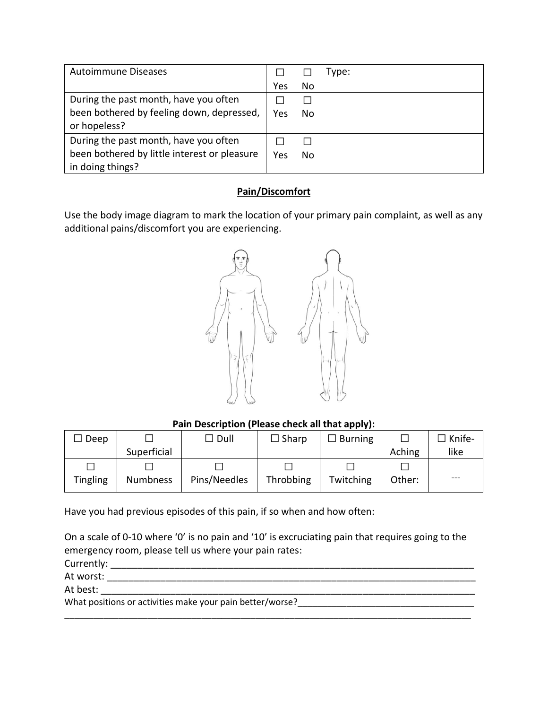| <b>Autoimmune Diseases</b>                   |     |     | Type: |
|----------------------------------------------|-----|-----|-------|
|                                              | Yes | No  |       |
| During the past month, have you often        |     |     |       |
| been bothered by feeling down, depressed,    | Yes | No. |       |
| or hopeless?                                 |     |     |       |
| During the past month, have you often        |     |     |       |
| been bothered by little interest or pleasure | Yes | No  |       |
| in doing things?                             |     |     |       |

## **Pain/Discomfort**

Use the body image diagram to mark the location of your primary pain complaint, as well as any additional pains/discomfort you are experiencing.



**Pain Description (Please check all that apply):**

| Deep            |                 | $\Box$ Dull  | $\Box$ Sharp | $\square$ Burning |        | $\Box$ Knife-     |
|-----------------|-----------------|--------------|--------------|-------------------|--------|-------------------|
|                 | Superficial     |              |              |                   | Aching | like              |
|                 |                 |              |              |                   |        |                   |
| <b>Tingling</b> | <b>Numbness</b> | Pins/Needles | Throbbing    | Twitching         | Other: | $\qquad \qquad -$ |

Have you had previous episodes of this pain, if so when and how often:

On a scale of 0-10 where '0' is no pain and '10' is excruciating pain that requires going to the emergency room, please tell us where your pain rates:

Currently: \_\_\_\_\_\_\_\_\_\_\_\_\_\_\_\_\_\_\_\_\_\_\_\_\_\_\_\_\_\_\_\_\_\_\_\_\_\_\_\_\_\_\_\_\_\_\_\_\_\_\_\_\_\_\_\_\_\_\_\_\_\_\_\_\_\_\_\_ At worst: \_\_\_\_\_\_\_\_\_\_\_\_\_\_\_\_\_\_\_\_\_\_\_\_\_\_\_\_\_\_\_\_\_\_\_\_\_\_\_\_\_\_\_\_\_\_\_\_\_\_\_\_\_\_\_\_\_\_\_\_\_\_\_\_\_\_\_\_\_ At best:  $\overline{a}$ What positions or activities make your pain better/worse? \_\_\_\_\_\_\_\_\_\_\_\_\_\_\_\_\_\_\_\_\_\_ \_\_\_\_\_\_\_\_\_\_\_\_\_\_\_\_\_\_\_\_\_\_\_\_\_\_\_\_\_\_\_\_\_\_\_\_\_\_\_\_\_\_\_\_\_\_\_\_\_\_\_\_\_\_\_\_\_\_\_\_\_\_\_\_\_\_\_\_\_\_\_\_\_\_\_\_\_\_\_\_\_\_\_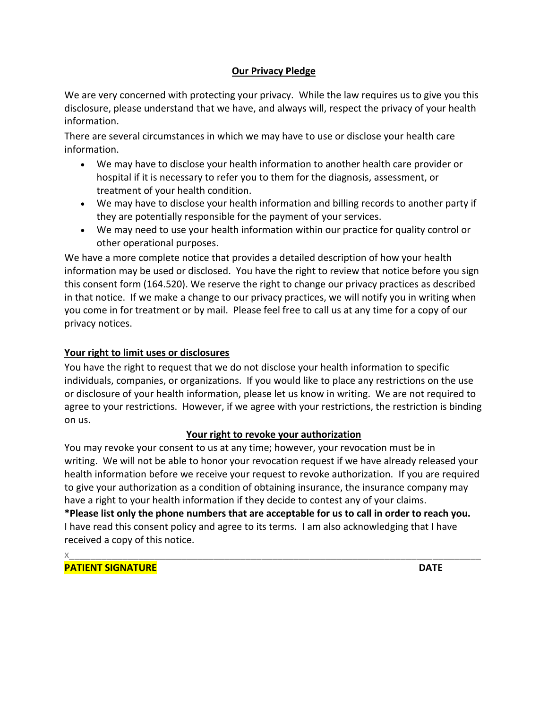## **Our Privacy Pledge**

We are very concerned with protecting your privacy. While the law requires us to give you this disclosure, please understand that we have, and always will, respect the privacy of your health information.

There are several circumstances in which we may have to use or disclose your health care information.

- We may have to disclose your health information to another health care provider or hospital if it is necessary to refer you to them for the diagnosis, assessment, or treatment of your health condition.
- We may have to disclose your health information and billing records to another party if they are potentially responsible for the payment of your services.
- We may need to use your health information within our practice for quality control or other operational purposes.

We have a more complete notice that provides a detailed description of how your health information may be used or disclosed. You have the right to review that notice before you sign this consent form (164.520). We reserve the right to change our privacy practices as described in that notice. If we make a change to our privacy practices, we will notify you in writing when you come in for treatment or by mail. Please feel free to call us at any time for a copy of our privacy notices.

## **Your right to limit uses or disclosures**

You have the right to request that we do not disclose your health information to specific individuals, companies, or organizations. If you would like to place any restrictions on the use or disclosure of your health information, please let us know in writing. We are not required to agree to your restrictions. However, if we agree with your restrictions, the restriction is binding on us.

## **Your right to revoke your authorization**

You may revoke your consent to us at any time; however, your revocation must be in writing. We will not be able to honor your revocation request if we have already released your health information before we receive your request to revoke authorization. If you are required to give your authorization as a condition of obtaining insurance, the insurance company may have a right to your health information if they decide to contest any of your claims.

**\*Please list only the phone numbers that are acceptable for us to call in order to reach you.** I have read this consent policy and agree to its terms. I am also acknowledging that I have received a copy of this notice.

x\_\_\_\_\_\_\_\_\_\_\_\_\_\_\_\_\_\_\_\_\_\_\_\_\_\_\_\_\_\_\_\_\_\_\_\_\_\_\_\_\_\_\_\_\_\_\_\_\_\_\_\_\_\_\_\_\_\_\_\_\_\_\_\_\_\_\_\_\_\_\_\_\_\_\_\_\_ **PATIENT SIGNATURE DATE**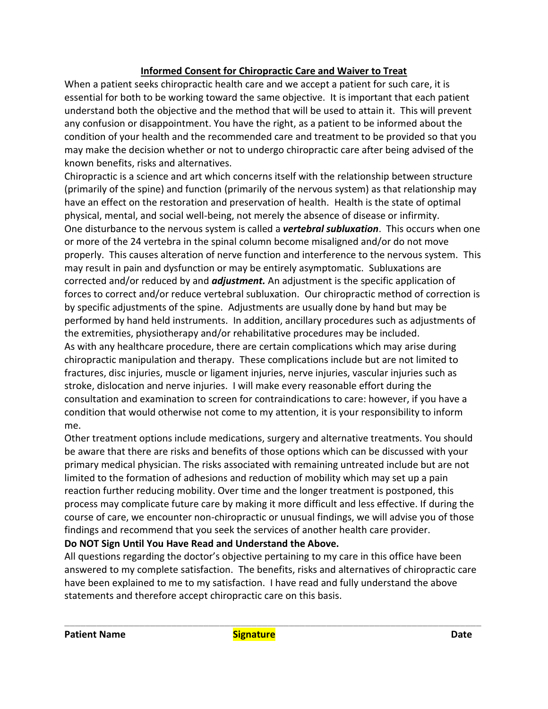## **Informed Consent for Chiropractic Care and Waiver to Treat**

When a patient seeks chiropractic health care and we accept a patient for such care, it is essential for both to be working toward the same objective. It is important that each patient understand both the objective and the method that will be used to attain it. This will prevent any confusion or disappointment. You have the right, as a patient to be informed about the condition of your health and the recommended care and treatment to be provided so that you may make the decision whether or not to undergo chiropractic care after being advised of the known benefits, risks and alternatives.

Chiropractic is a science and art which concerns itself with the relationship between structure (primarily of the spine) and function (primarily of the nervous system) as that relationship may have an effect on the restoration and preservation of health. Health is the state of optimal physical, mental, and social well-being, not merely the absence of disease or infirmity. One disturbance to the nervous system is called a *vertebral subluxation*. This occurs when one or more of the 24 vertebra in the spinal column become misaligned and/or do not move properly. This causes alteration of nerve function and interference to the nervous system. This may result in pain and dysfunction or may be entirely asymptomatic. Subluxations are corrected and/or reduced by and *adjustment.* An adjustment is the specific application of forces to correct and/or reduce vertebral subluxation. Our chiropractic method of correction is by specific adjustments of the spine. Adjustments are usually done by hand but may be performed by hand held instruments. In addition, ancillary procedures such as adjustments of the extremities, physiotherapy and/or rehabilitative procedures may be included. As with any healthcare procedure, there are certain complications which may arise during chiropractic manipulation and therapy. These complications include but are not limited to fractures, disc injuries, muscle or ligament injuries, nerve injuries, vascular injuries such as stroke, dislocation and nerve injuries. I will make every reasonable effort during the consultation and examination to screen for contraindications to care: however, if you have a condition that would otherwise not come to my attention, it is your responsibility to inform me.

Other treatment options include medications, surgery and alternative treatments. You should be aware that there are risks and benefits of those options which can be discussed with your primary medical physician. The risks associated with remaining untreated include but are not limited to the formation of adhesions and reduction of mobility which may set up a pain reaction further reducing mobility. Over time and the longer treatment is postponed, this process may complicate future care by making it more difficult and less effective. If during the course of care, we encounter non-chiropractic or unusual findings, we will advise you of those findings and recommend that you seek the services of another health care provider.

## **Do NOT Sign Until You Have Read and Understand the Above.**

All questions regarding the doctor's objective pertaining to my care in this office have been answered to my complete satisfaction. The benefits, risks and alternatives of chiropractic care have been explained to me to my satisfaction. I have read and fully understand the above statements and therefore accept chiropractic care on this basis.

\_\_\_\_\_\_\_\_\_\_\_\_\_\_\_\_\_\_\_\_\_\_\_\_\_\_\_\_\_\_\_\_\_\_\_\_\_\_\_\_\_\_\_\_\_\_\_\_\_\_\_\_\_\_\_\_\_\_\_\_\_\_\_\_\_\_\_\_\_\_\_\_\_\_\_\_\_\_